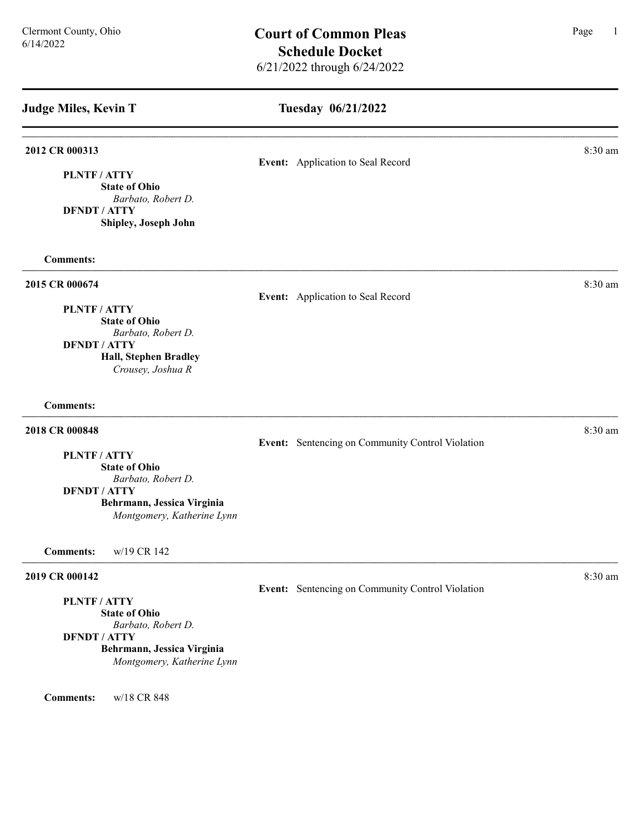Tuesday 06/21/2022

# **2012 CR 000313** 8:30 am **8.30 am** Event: Application to Seal Record PLNTF / ATTY State of Ohio Barbato, Robert D. DFNDT / ATTY Shipley, Joseph John Comments: **2015 CR 000674** 8:30 am **8:30 am** Event: Application to Seal Record PLNTF / ATTY State of Ohio Barbato, Robert D. DFNDT / ATTY Hall, Stephen Bradley Crousey, Joshua R Comments: **2018 CR 000848** 8:30 am **8:30 am** Event: Sentencing on Community Control Violation PLNTF / ATTY State of Ohio Barbato, Robert D. DFNDT / ATTY Behrmann, Jessica Virginia Montgomery, Katherine Lynn Comments: w/19 CR 142 **2019 CR 000142** 8:30 am **8.30 am** Event: Sentencing on Community Control Violation PLNTF / ATTY State of Ohio Barbato, Robert D. DFNDT / ATTY Behrmann, Jessica Virginia Montgomery, Katherine Lynn Comments: w/18 CR 848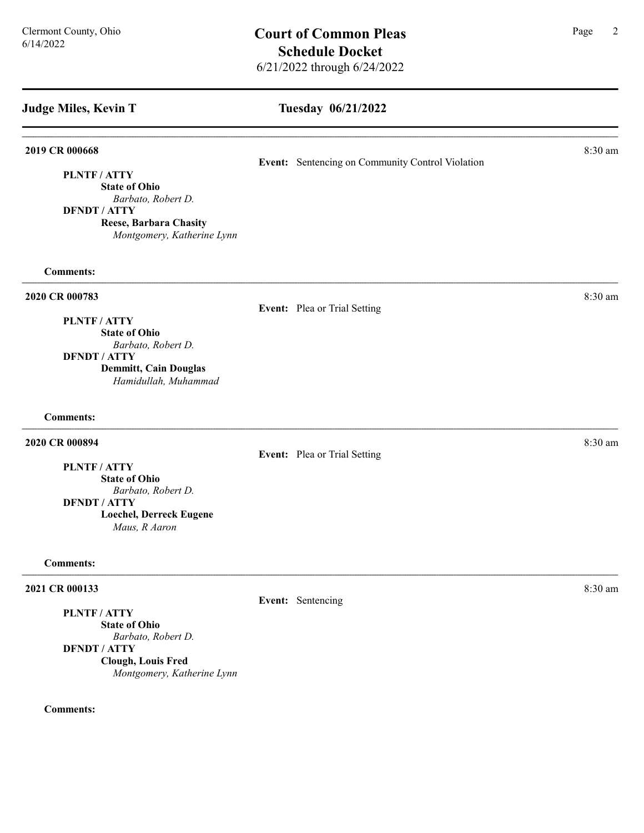## Tuesday 06/21/2022

### **2019 CR 000668** 8:30 am **8:30 am**

PLNTF / ATTY

State of Ohio Barbato, Robert D.

DFNDT / ATTY

Reese, Barbara Chasity Montgomery, Katherine Lynn

Comments:

### 2020 CR 000783 8:30 am and 2020 CR 000783

### Event: Plea or Trial Setting

PLNTF / ATTY

State of Ohio Barbato, Robert D.

DFNDT / ATTY

Demmitt, Cain Douglas Hamidullah, Muhammad

Comments:

### **2020 CR 000894** 8:30 am **8:30 am**

Event: Plea or Trial Setting

PLNTF / ATTY State of Ohio

Barbato, Robert D. DFNDT / ATTY

Loechel, Derreck Eugene Maus, R Aaron

### Comments:

### **2021 CR 000133** 8:30 am **8:30 am**

PLNTF / ATTY

State of Ohio Barbato, Robert D. DFNDT / ATTY Clough, Louis Fred Montgomery, Katherine Lynn

### Comments:

Event: Sentencing on Community Control Violation

Event: Sentencing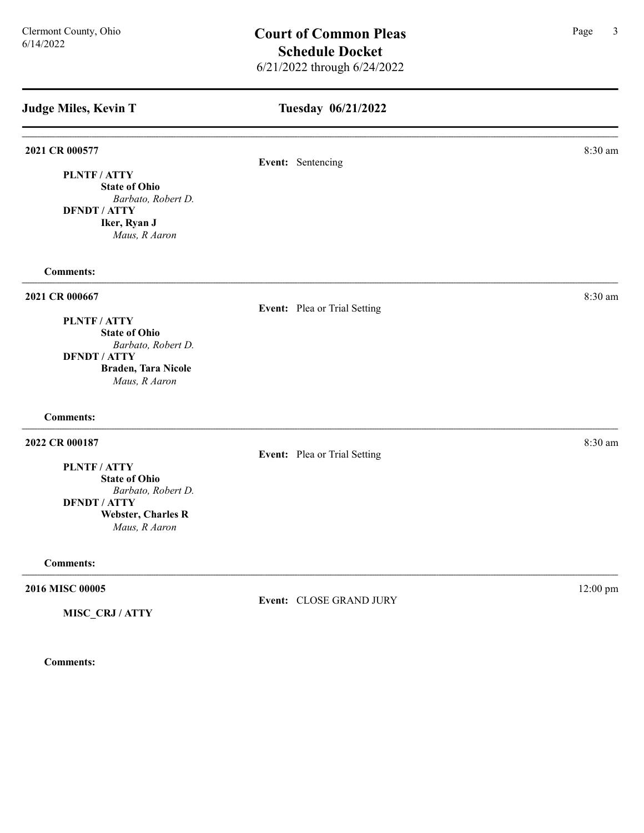# Tuesday 06/21/2022

| 8:30 am                                                                                                      |
|--------------------------------------------------------------------------------------------------------------|
|                                                                                                              |
|                                                                                                              |
|                                                                                                              |
| 8:30 am                                                                                                      |
|                                                                                                              |
|                                                                                                              |
|                                                                                                              |
|                                                                                                              |
|                                                                                                              |
| 8:30 am                                                                                                      |
|                                                                                                              |
|                                                                                                              |
|                                                                                                              |
|                                                                                                              |
|                                                                                                              |
| 12:00 pm                                                                                                     |
|                                                                                                              |
| Event: Sentencing<br>Event: Plea or Trial Setting<br>Event: Plea or Trial Setting<br>Event: CLOSE GRAND JURY |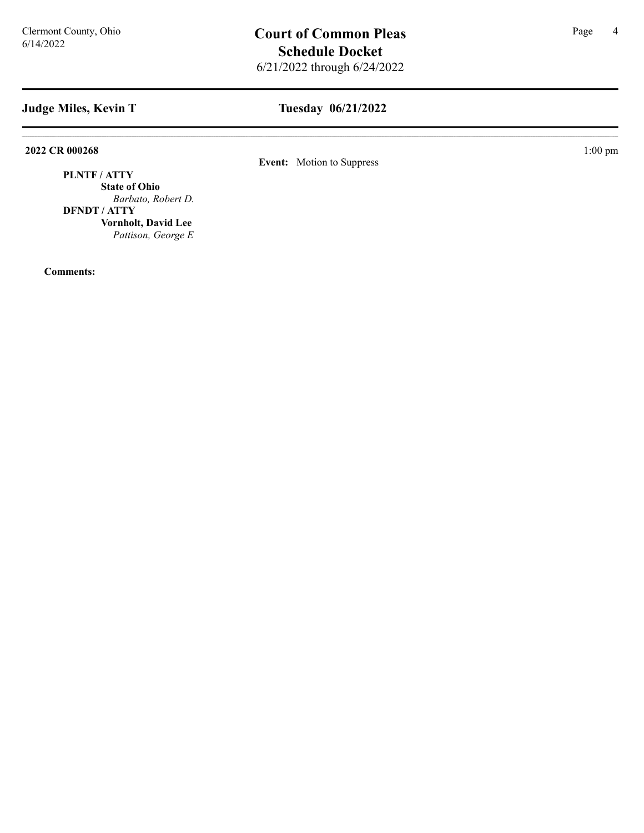# Tuesday 06/21/2022

2022 CR 000268 1:00 pm

Event: Motion to Suppress

PLNTF / ATTY State of Ohio Barbato, Robert D. DFNDT / ATTY

> Vornholt, David Lee Pattison, George E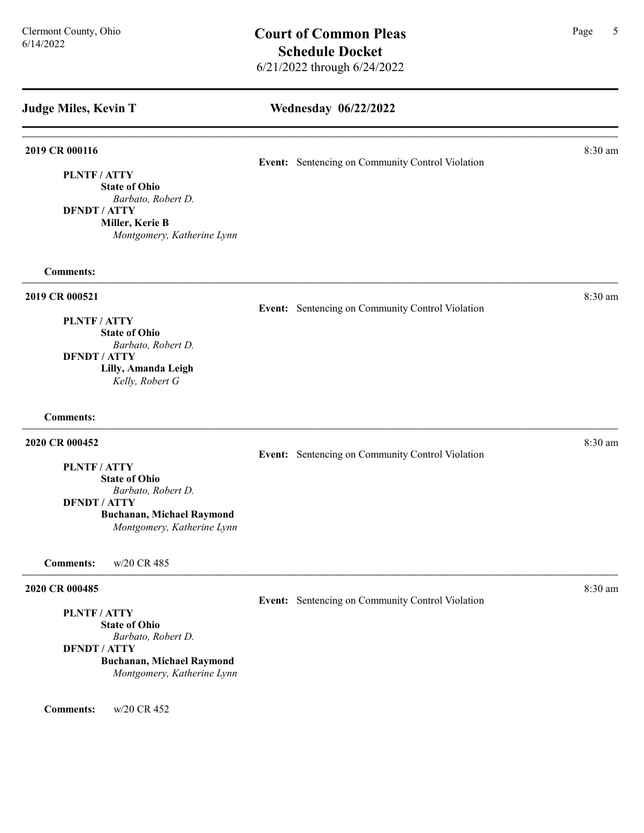### Wednesday 06/22/2022

### **2019 CR 000116** 8:30 am **8:30 am**

Event: Sentencing on Community Control Violation

State of Ohio Barbato, Robert D.

DFNDT / ATTY

Miller, Kerie B

PLNTF / ATTY

Montgomery, Katherine Lynn

### Comments:

### **2019 CR 000521** 8:30 am **8:30 am**

Event: Sentencing on Community Control Violation

### PLNTF / ATTY

State of Ohio Barbato, Robert D. DFNDT / ATTY Lilly, Amanda Leigh Kelly, Robert G

### Comments:

### **2020 CR 000452** 8:30 am **8.30 am**

PLNTF / ATTY

State of Ohio

Barbato, Robert D.

DFNDT / ATTY

Buchanan, Michael Raymond Montgomery, Katherine Lynn

Comments: w/20 CR 485

### **2020 CR 000485** 8:30 am **8:30 am**

PLNTF / ATTY

State of Ohio Barbato, Robert D.

DFNDT / ATTY

### Buchanan, Michael Raymond

Montgomery, Katherine Lynn

Comments: w/20 CR 452

Event: Sentencing on Community Control Violation

Event: Sentencing on Community Control Violation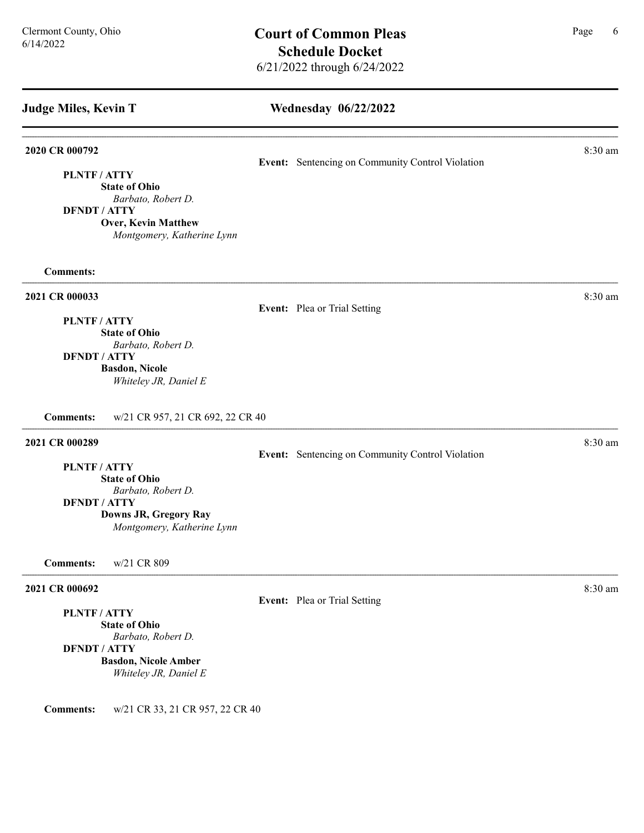### Wednesday 06/22/2022

### 2020 CR 000792 8:30 am and 2020 CR 000792

Event: Sentencing on Community Control Violation

Event: Sentencing on Community Control Violation

PLNTF / ATTY State of Ohio

Barbato, Robert D.

DFNDT / ATTY

Over, Kevin Matthew Montgomery, Katherine Lynn

### Comments:

### **2021 CR 000033** 8:30 am **8.30 am**

# Event: Plea or Trial Setting

PLNTF / ATTY State of Ohio

Barbato, Robert D. DFNDT / ATTY Basdon, Nicole

Whiteley JR, Daniel E

Comments: w/21 CR 957, 21 CR 692, 22 CR 40

# 2021 CR 000289 8:30 am

PLNTF / ATTY

# State of Ohio

Barbato, Robert D.

DFNDT / ATTY

Downs JR, Gregory Ray Montgomery, Katherine Lynn

Comments: w/21 CR 809

### 2021 CR 000692 8:30 am

PLNTF / ATTY

State of Ohio Barbato, Robert D.

DFNDT / ATTY

Basdon, Nicole Amber

Whiteley JR, Daniel E

Comments: w/21 CR 33, 21 CR 957, 22 CR 40

Event: Plea or Trial Setting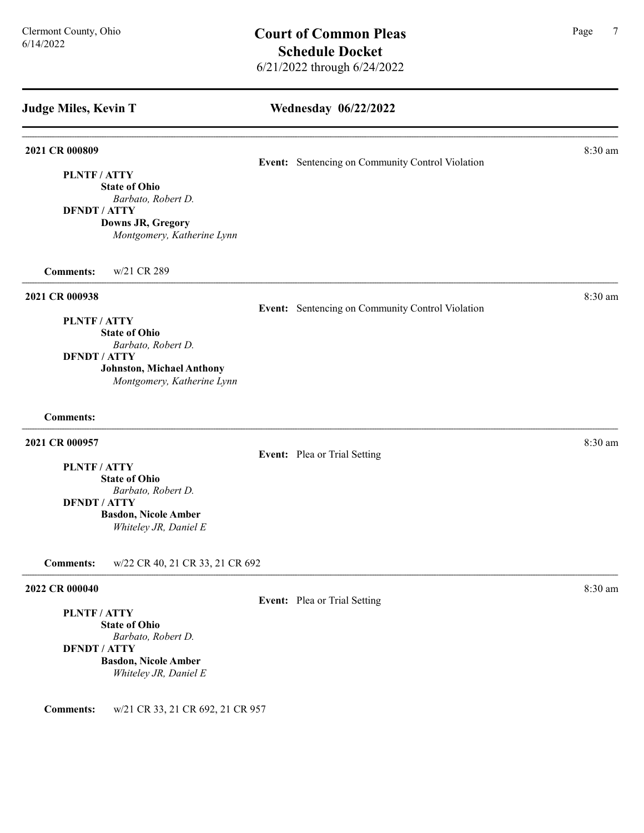### Wednesday 06/22/2022

### **2021 CR 000809** 8:30 am **8.30 am**

Event: Sentencing on Community Control Violation

Event: Sentencing on Community Control Violation

### PLNTF / ATTY

State of Ohio Barbato, Robert D.

### DFNDT / ATTY

Downs JR, Gregory Montgomery, Katherine Lynn

Comments: w/21 CR 289

### **2021 CR 000938** 8:30 am **8:30 am**

PLNTF / ATTY

State of Ohio Barbato, Robert D.

### DFNDT / ATTY

Johnston, Michael Anthony

Montgomery, Katherine Lynn

### Comments:

### 2021 CR 000957 8:30 am

Event: Plea or Trial Setting

# PLNTF / ATTY

State of Ohio Barbato, Robert D.

### DFNDT / ATTY

Basdon, Nicole Amber Whiteley JR, Daniel E

Comments: w/22 CR 40, 21 CR 33, 21 CR 692

# PLNTF / ATTY

State of Ohio Barbato, Robert D. DFNDT / ATTY

# Basdon, Nicole Amber Whiteley JR, Daniel E

Comments: w/21 CR 33, 21 CR 692, 21 CR 957

2022 CR 000040 8:30 am 2022 CR 000040 Event: Plea or Trial Setting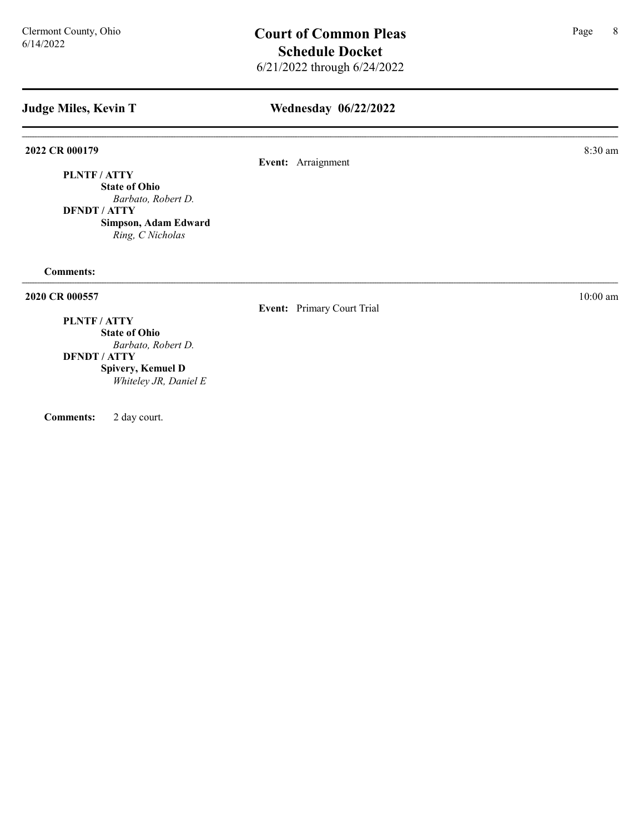# Wednesday 06/22/2022

2022 CR 000179 8:30 am

Event: Arraignment

PLNTF / ATTY State of Ohio

Barbato, Robert D. DFNDT / ATTY

> Simpson, Adam Edward Ring, C Nicholas

Comments:

2020 CR 000557 10:00 am 10:00 am 10:00 am 10:00 am 10:00 am 10:00 am 10:00 am 10:00 am 10:00 am 10:00 am 10:00 am 10:00 am 10:00 am 10:00 am 10:00 am 10:00 am 10:00 am 10:00 am 10:00 am 10:00 am 10:00 am 10:00 am 10:00 am

# Event: Primary Court Trial

# PLNTF / ATTY

State of Ohio Barbato, Robert D.

### DFNDT / ATTY

Spivery, Kemuel D Whiteley JR, Daniel E

Comments: 2 day court.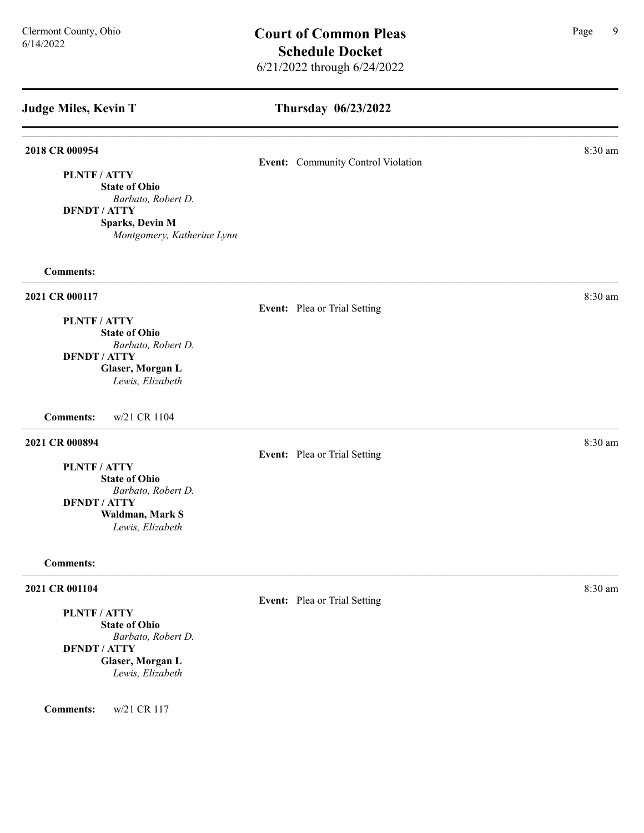PLNTF / ATTY

DFNDT / ATTY

# Thursday 06/23/2022

### **2018 CR 000954** 8:30 am **8:20 am** 8:30 am **8:20 am** 8:30 am **8:20 am** 8:30 am **8:30 am**

Event: Community Control Violation

### **2021 CR 000117** 8:30 am **8.30 am**

Comments:

### Event: Plea or Trial Setting

PLNTF / ATTY State of Ohio Barbato, Robert D. DFNDT / ATTY Glaser, Morgan L

State of Ohio

Sparks, Devin M

Barbato, Robert D.

Montgomery, Katherine Lynn

Lewis, Elizabeth

Comments: w/21 CR 1104

### **2021 CR 000894** 8:30 am **8:30 am**

Event: Plea or Trial Setting

PLNTF / ATTY

State of Ohio Barbato, Robert D. DFNDT / ATTY Waldman, Mark S Lewis, Elizabeth

### Comments:

## **2021 CR 001104** 8:30 am **8.30 am**

PLNTF / ATTY

State of Ohio Barbato, Robert D. DFNDT / ATTY Glaser, Morgan L Lewis, Elizabeth

Comments: w/21 CR 117

Event: Plea or Trial Setting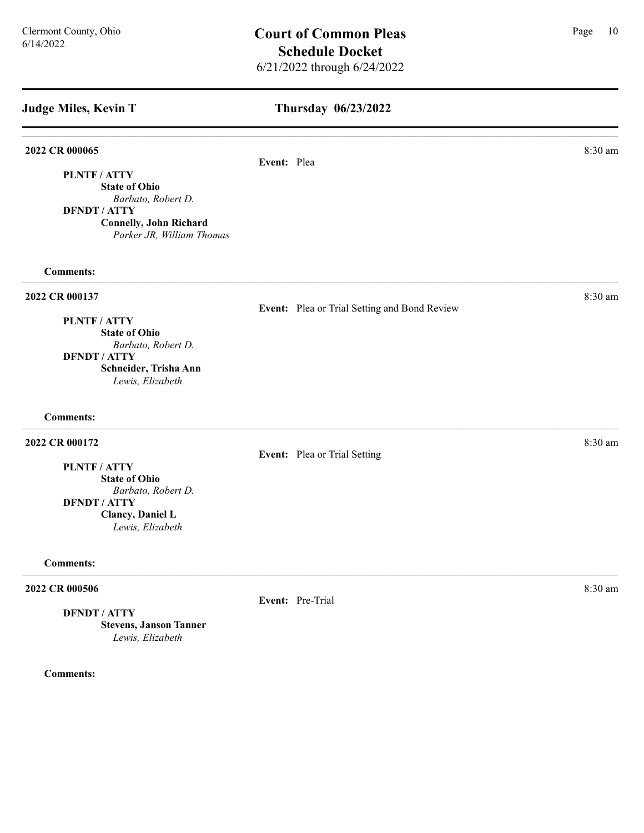# Thursday 06/23/2022

### 2022 CR 000065 8:30 am

Event: Plea

PLNTF / ATTY State of Ohio Barbato, Robert D.

DFNDT / ATTY Connelly, John Richard Parker JR, William Thomas

Comments:

### 2022 CR 000137 8:30 am and 2022 CR 000137

Event: Plea or Trial Setting and Bond Review

### PLNTF / ATTY

State of Ohio Barbato, Robert D. DFNDT / ATTY Schneider, Trisha Ann Lewis, Elizabeth

Comments:

### 2022 CR 000172 8:30 am

Event: Plea or Trial Setting

PLNTF / ATTY

State of Ohio Barbato, Robert D. DFNDT / ATTY Clancy, Daniel L Lewis, Elizabeth

### Comments:

### **2022 CR 000506** 8:30 am **8:30 am**

DFNDT / ATTY

Stevens, Janson Tanner Lewis, Elizabeth

Comments:

Event: Pre-Trial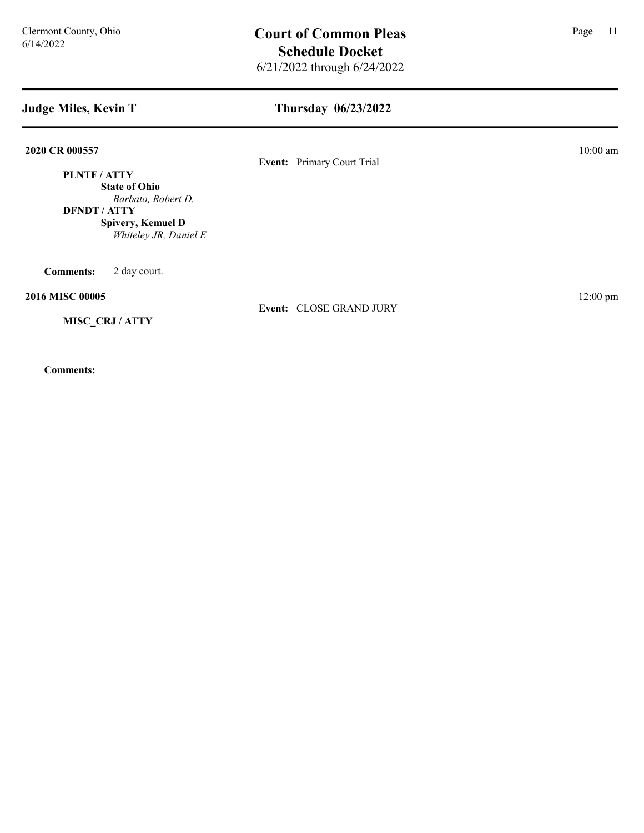| Judge Miles, Kevin T                                                                                                          | Thursday 06/23/2022        |                    |  |
|-------------------------------------------------------------------------------------------------------------------------------|----------------------------|--------------------|--|
| 2020 CR 000557                                                                                                                | Event: Primary Court Trial | $10:00$ am         |  |
| PLNTF/ATTY<br><b>State of Ohio</b><br>Barbato, Robert D.<br><b>DFNDT / ATTY</b><br>Spivery, Kemuel D<br>Whiteley JR, Daniel E |                            |                    |  |
| <b>Comments:</b><br>2 day court.                                                                                              |                            |                    |  |
| 2016 MISC 00005                                                                                                               | Event: CLOSE GRAND JURY    | $12:00 \text{ pm}$ |  |
| MISC CRJ/ATTY                                                                                                                 |                            |                    |  |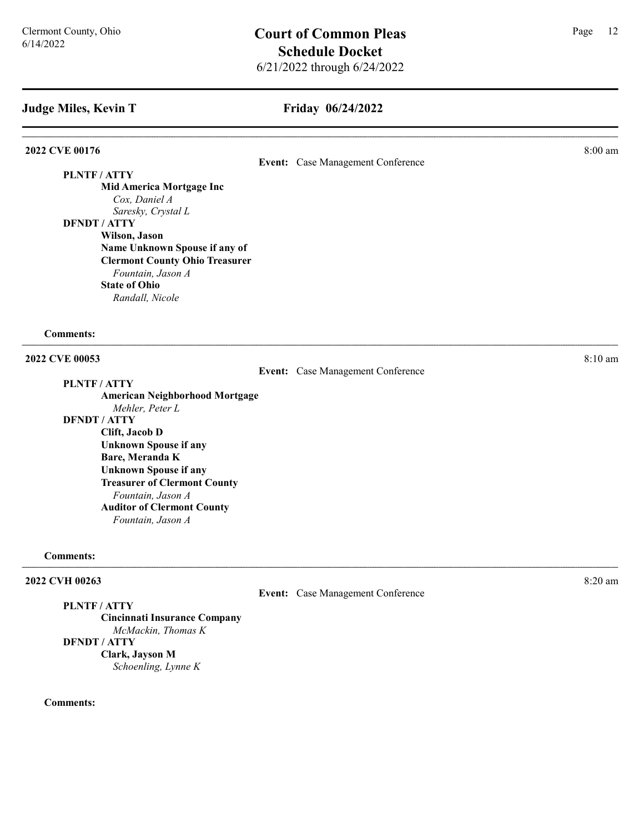# Friday 06/24/2022

### **2022 CVE 00176** 8:00 am **8:00 am**

Event: Case Management Conference

PLNTF / ATTY

Mid America Mortgage Inc Cox, Daniel A Saresky, Crystal L DFNDT / ATTY

Wilson, Jason Name Unknown Spouse if any of Clermont County Ohio Treasurer Fountain, Jason A State of Ohio Randall, Nicole

Comments:

# 2022 CVE 00053 8:10 am **8:10**

Event: Case Management Conference

PLNTF / ATTY

American Neighborhood Mortgage Mehler, Peter L DFNDT / ATTY Clift, Jacob D Unknown Spouse if any Bare, Meranda K

Unknown Spouse if any Treasurer of Clermont County Fountain, Jason A Auditor of Clermont County Fountain, Jason A

### Comments:

### 2022 CVH 00263 8:20 am

Event: Case Management Conference

PLNTF / ATTY Cincinnati Insurance Company McMackin, Thomas K DFNDT / ATTY

Clark, Jayson M Schoenling, Lynne K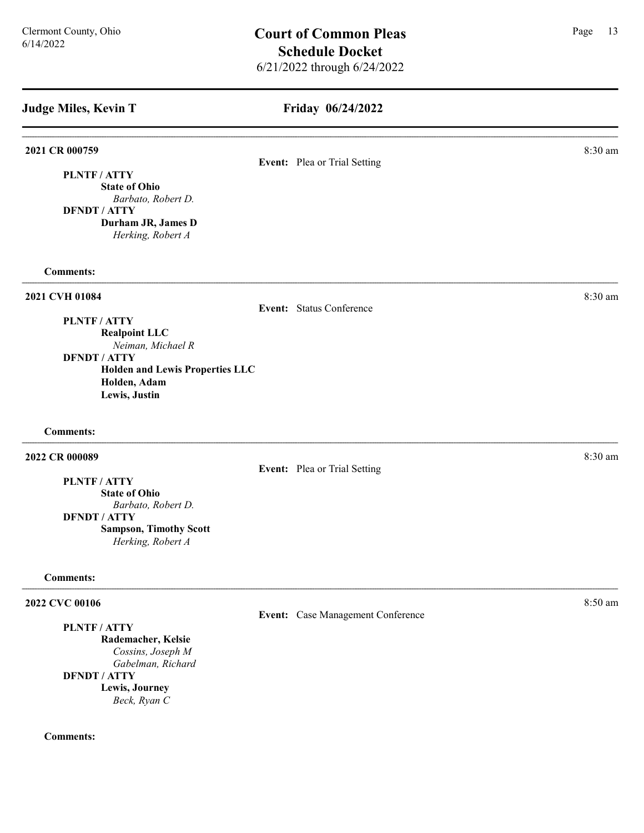# Friday 06/24/2022

| 2021 CR 000759                                     |                                   | 8:30 am |
|----------------------------------------------------|-----------------------------------|---------|
|                                                    | Event: Plea or Trial Setting      |         |
| PLNTF / ATTY                                       |                                   |         |
| <b>State of Ohio</b>                               |                                   |         |
| Barbato, Robert D.<br><b>DFNDT / ATTY</b>          |                                   |         |
| Durham JR, James D                                 |                                   |         |
| Herking, Robert A                                  |                                   |         |
| <b>Comments:</b>                                   |                                   |         |
| 2021 CVH 01084                                     |                                   | 8:30 am |
|                                                    | Event: Status Conference          |         |
| PLNTF / ATTY                                       |                                   |         |
| <b>Realpoint LLC</b>                               |                                   |         |
| Neiman, Michael R                                  |                                   |         |
| <b>DFNDT / ATTY</b>                                |                                   |         |
| <b>Holden and Lewis Properties LLC</b>             |                                   |         |
| Holden, Adam                                       |                                   |         |
| Lewis, Justin                                      |                                   |         |
| <b>Comments:</b>                                   |                                   |         |
| 2022 CR 000089                                     |                                   | 8:30 am |
|                                                    | Event: Plea or Trial Setting      |         |
| PLNTF / ATTY                                       |                                   |         |
| <b>State of Ohio</b>                               |                                   |         |
| Barbato, Robert D.                                 |                                   |         |
| <b>DFNDT / ATTY</b>                                |                                   |         |
| <b>Sampson, Timothy Scott</b><br>Herking, Robert A |                                   |         |
| <b>Comments:</b>                                   |                                   |         |
| 2022 CVC 00106                                     |                                   | 8:50 am |
|                                                    | Event: Case Management Conference |         |
| PLNTF / ATTY                                       |                                   |         |
| Rademacher, Kelsie                                 |                                   |         |
| Cossins, Joseph M                                  |                                   |         |
| Gabelman, Richard                                  |                                   |         |
| <b>DFNDT / ATTY</b>                                |                                   |         |
| Lewis, Journey                                     |                                   |         |
| Beck, Ryan C                                       |                                   |         |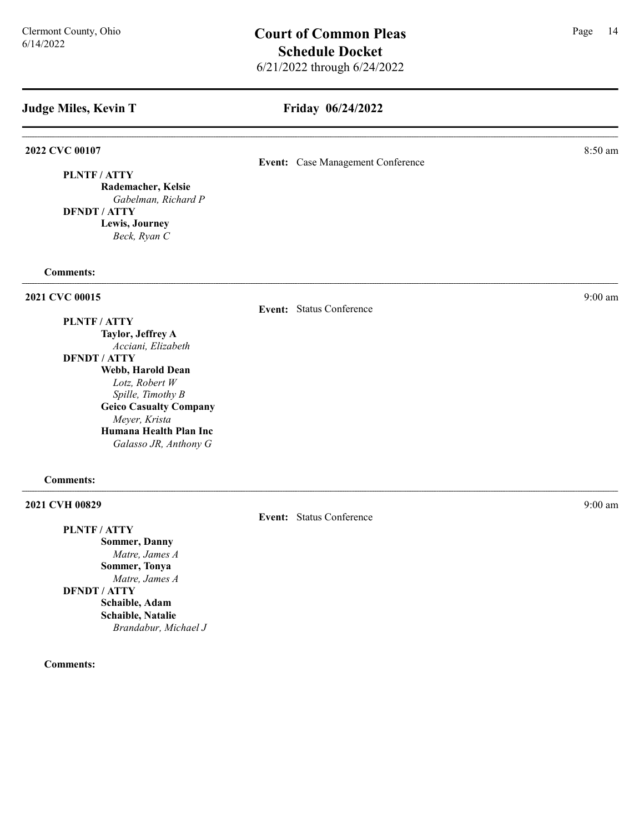### Friday 06/24/2022

Event: Case Management Conference

### 2022 CVC 00107 8:50 am **8.50 am**

PLNTF / ATTY

PLNTF / ATTY

Rademacher, Kelsie Gabelman, Richard P DFNDT / ATTY Lewis, Journey

Beck, Ryan C

### Comments:

### **2021 CVC 00015** 9:00 am 9:00 am 9:00 am 9:00 am 9:00 am 9:00 am 9:00 am 9:00 am 9:00 am 9:00 am 9:00 am 9:00 am 9:00 am 9:00 am 9:00 am 9:00 am 9:00 am 9:00 am 9:00 am 9:00 am 9:00 am 9:00 am 9:00 am 9:00 am 9:00 am 9:00

### Event: Status Conference

Taylor, Jeffrey A Acciani, Elizabeth DFNDT / ATTY Webb, Harold Dean Lotz, Robert W Spille, Timothy B Geico Casualty Company Meyer, Krista Humana Health Plan Inc Galasso JR, Anthony G

### Comments:

### 2021 CVH 00829 9:00 am 2021 9:00 am 2021 9:00 am 2021 9:00 am 2021 9:00 am 2021 9:00 am 2021 9:00 am 2021 9:00 am 2021 9:00 am 2021 9:00 am 2021 9:00 am 2021 9:00 am 2021 9:00 am 2021 9:00 am 2021 9:00 am 2021 9:00 am 2021

PLNTF / ATTY Sommer, Danny Matre, James A Sommer, Tonya Matre, James A DFNDT / ATTY Schaible, Adam Schaible, Natalie Brandabur, Michael J

Comments:

Event: Status Conference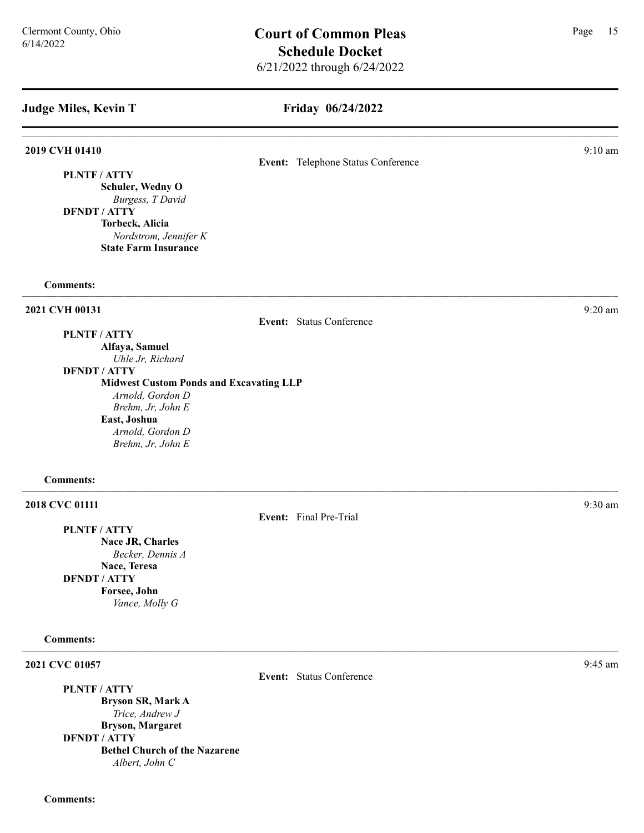### Friday 06/24/2022

Event: Telephone Status Conference

### **2019 CVH 01410** 9:10 am **9:10** am **9:10** am **9:10** am **9:10** am **9:10** am **9:10** am **9:10** am **9:10** am **9:10** am **9:10** am **9:10** am **9:10** am **9:10** am **9:10** am **9:10** am **9:10** am **9:10** am **9:10** am **9:10** am **9:10**

PLNTF / ATTY

Schuler, Wedny O Burgess, T David DFNDT / ATTY

> Torbeck, Alicia Nordstrom, Jennifer K State Farm Insurance

### Comments:

### 2021 CVH 00131 9:20 am

Event: Status Conference

PLNTF / ATTY Alfaya, Samuel

Uhle Jr, Richard DFNDT / ATTY

Midwest Custom Ponds and Excavating LLP

Arnold, Gordon D Brehm, Jr, John E East, Joshua Arnold, Gordon D Brehm, Jr, John E

### Comments:

### **2018 CVC 01111** 9:30 am 9:30 am 9:30 am 9:30 am 9:30 am 9:30 am 9:30 am 9:30 am 9:30 am 9:30 am 9:30 am 9:30 am 9:30 am 9:30 am 9:30 am 9:30 am 9:30 am 9:30 am 9:30 am 9:30 am 9:30 am 9:30 am 9:30 am 9:30 am 9:30 am 9:30

PLNTF / ATTY Nace JR, Charles Becker, Dennis A Nace, Teresa DFNDT / ATTY Forsee, John Vance, Molly G

### Comments:

2021 CVC 01057 9:45 am 9:45 am 9:45 am 9:45 am 9:45 am 9:45 am 9:45 am 9:45 am 9:45 am 9:45 am 9:45 am 9:45 am 9:45 am 9:45 am 9:45 am 9:45 am 9:45 am 9:45 am 9:45 am 9:45 am 9:45 am 9:45 am 9:45 am 9:45 am 9:45 am 9:45 am

PLNTF / ATTY Bryson SR, Mark A Trice, Andrew J Bryson, Margaret DFNDT / ATTY Bethel Church of the Nazarene Albert, John C

Event: Final Pre-Trial

Event: Status Conference